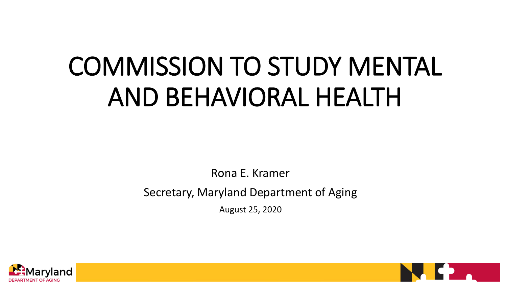## COMMISSION TO STUDY MENTAL AND BEHAVIORAL HEALTH

Rona E. Kramer

Secretary, Maryland Department of Aging

August 25, 2020



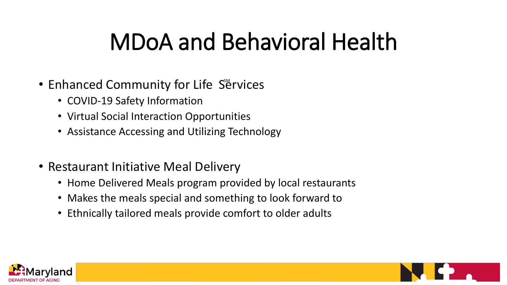## MDoA and Behavioral Health

- Enhanced Community for Life Services
	- COVID-19 Safety Information
	- Virtual Social Interaction Opportunities
	- Assistance Accessing and Utilizing Technology
- Restaurant Initiative Meal Delivery
	- Home Delivered Meals program provided by local restaurants
	- Makes the meals special and something to look forward to
	- Ethnically tailored meals provide comfort to older adults



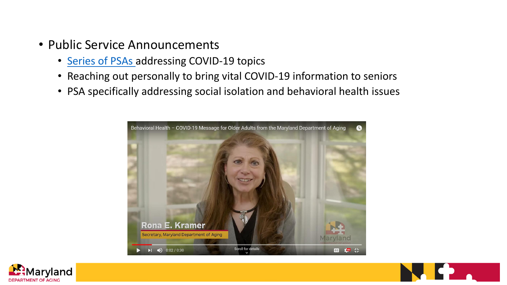- Public Service Announcements
	- [Series of PSAs a](https://www.youtube.com/playlist?list=PLqxzM7j0G5XYWxbDziyVydD_mHe6657wj)ddressing COVID-19 topics
	- Reaching out personally to bring vital COVID-19 information to seniors
	- PSA specifically addressing social isolation and behavioral health issues





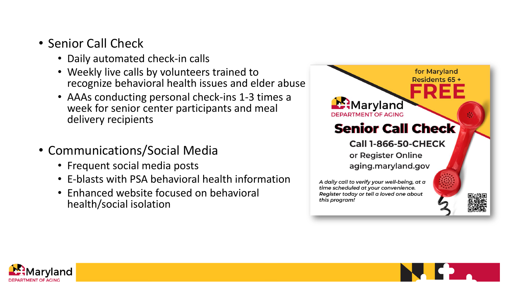- Senior Call Check
	- Daily automated check-in calls
	- Weekly live calls by volunteers trained to recognize behavioral health issues and elder abuse
	- AAAs conducting personal check-ins 1-3 times a week for senior center participants and meal delivery recipients
- Communications/Social Media
	- Frequent social media posts
	- E-blasts with PSA behavioral health information
	- Enhanced website focused on behavioral health/social isolation





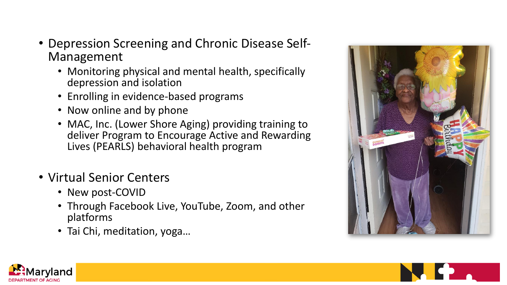- Depression Screening and Chronic Disease Self-Management
	- Monitoring physical and mental health, specifically depression and isolation
	- Enrolling in evidence-based programs
	- Now online and by phone
	- MAC, Inc. (Lower Shore Aging) providing training to deliver Program to Encourage Active and Rewarding Lives (PEARLS) behavioral health program
- Virtual Senior Centers
	- New post-COVID
	- Through Facebook Live, YouTube, Zoom, and other platforms
	- Tai Chi, meditation, yoga…